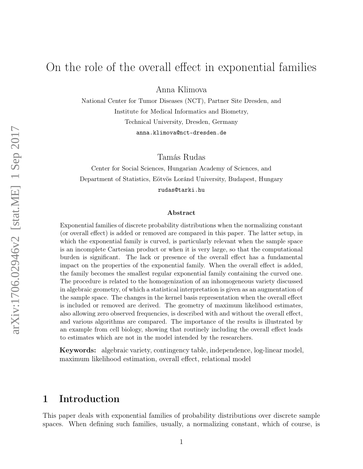# On the role of the overall effect in exponential families

Anna Klimova

National Center for Tumor Diseases (NCT), Partner Site Dresden, and Institute for Medical Informatics and Biometry, Technical University, Dresden, Germany anna.klimova@nct-dresden.de

Tamás Rudas

Center for Social Sciences, Hungarian Academy of Sciences, and Department of Statistics, Eötvös Loránd University, Budapest, Hungary rudas@tarki.hu

#### Abstract

Exponential families of discrete probability distributions when the normalizing constant (or overall effect) is added or removed are compared in this paper. The latter setup, in which the exponential family is curved, is particularly relevant when the sample space is an incomplete Cartesian product or when it is very large, so that the computational burden is significant. The lack or presence of the overall effect has a fundamental impact on the properties of the exponential family. When the overall effect is added, the family becomes the smallest regular exponential family containing the curved one. The procedure is related to the homogenization of an inhomogeneous variety discussed in algebraic geometry, of which a statistical interpretation is given as an augmentation of the sample space. The changes in the kernel basis representation when the overall effect is included or removed are derived. The geometry of maximum likelihood estimates, also allowing zero observed frequencies, is described with and without the overall effect, and various algorithms are compared. The importance of the results is illustrated by an example from cell biology, showing that routinely including the overall effect leads to estimates which are not in the model intended by the researchers.

Keywords: algebraic variety, contingency table, independence, log-linear model, maximum likelihood estimation, overall effect, relational model

# 1 Introduction

This paper deals with exponential families of probability distributions over discrete sample spaces. When defining such families, usually, a normalizing constant, which of course, is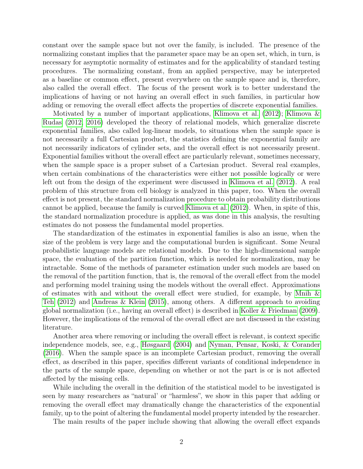constant over the sample space but not over the family, is included. The presence of the normalizing constant implies that the parameter space may be an open set, which, in turn, is necessary for asymptotic normality of estimates and for the applicability of standard testing procedures. The normalizing constant, from an applied perspective, may be interpreted as a baseline or common effect, present everywhere on the sample space and is, therefore, also called the overall effect. The focus of the present work is to better understand the implications of having or not having an overall effect in such families, in particular how adding or removing the overall effect affects the properties of discrete exponential families.

Motivated by a number of important applications, [Klimova et al.](#page-20-0) [\(2012\)](#page-20-0); [Klimova &](#page-20-1) [Rudas](#page-20-1) [\(2012,](#page-20-1) [2016\)](#page-20-2) developed the theory of relational models, which generalize discrete exponential families, also called log-linear models, to situations when the sample space is not necessarily a full Cartesian product, the statistics defining the exponential family are not necessarily indicators of cylinder sets, and the overall effect is not necessarily present. Exponential families without the overall effect are particularly relevant, sometimes necessary, when the sample space is a proper subset of a Cartesian product. Several real examples, when certain combinations of the characteristics were either not possible logically or were left out from the design of the experiment were discussed in [Klimova et al.](#page-20-0) [\(2012\)](#page-20-0). A real problem of this structure from cell biology is analyzed in this paper, too. When the overall effect is not present, the standard normalization procedure to obtain probability distributions cannot be applied, because the family is curved [Klimova et al.](#page-20-0) [\(2012\)](#page-20-0). When, in spite of this, the standard normalization procedure is applied, as was done in this analysis, the resulting estimates do not possess the fundamental model properties.

The standardization of the estimates in exponential families is also an issue, when the size of the problem is very large and the computational burden is significant. Some Neural probabilistic language models are relational models. Due to the high-dimensional sample space, the evaluation of the partition function, which is needed for normalization, may be intractable. Some of the methods of parameter estimation under such models are based on the removal of the partition function, that is, the removal of the overall effect from the model and performing model training using the models without the overall effect. Approximations of estimates with and without the overall effect were studied, for example, by Mnih  $\&$ [Teh](#page-20-3) [\(2012\)](#page-20-3) and [Andreas & Klein](#page-19-0) [\(2015\)](#page-19-0), among others. A different approach to avoiding global normalization (i.e., having an overall effect) is described in [Koller & Friedman](#page-20-4) [\(2009\)](#page-20-4). However, the implications of the removal of the overall effect are not discussed in the existing literature.

Another area where removing or including the overall effect is relevant, is context specific independence models, see, e.g., [Høsgaard](#page-19-1) [\(2004\)](#page-19-1) and [Nyman, Pensar, Koski, & Corander](#page-20-5) [\(2016\)](#page-20-5). When the sample space is an incomplete Cartesian product, removing the overall effect, as described in this paper, specifies different variants of conditional independence in the parts of the sample space, depending on whether or not the part is or is not affected affected by the missing cells.

While including the overall in the definition of the statistical model to be investigated is seen by many researchers as "natural' or "harmless", we show in this paper that adding or removing the overall effect may dramatically change the characteristics of the exponential family, up to the point of altering the fundamental model property intended by the researcher.

The main results of the paper include showing that allowing the overall effect expands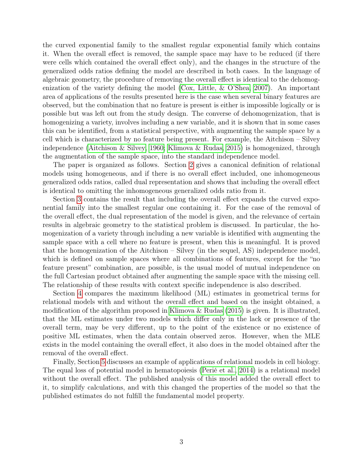the curved exponential family to the smallest regular exponential family which contains it. When the overall effect is removed, the sample space may have to be reduced (if there were cells which contained the overall effect only), and the changes in the structure of the generalized odds ratios defining the model are described in both cases. In the language of algebraic geometry, the procedure of removing the overall effect is identical to the dehomogenization of the variety defining the model [\(Cox, Little, & O'Shea, 2007\)](#page-19-2). An important area of applications of the results presented here is the case when several binary features are observed, but the combination that no feature is present is either is impossible logically or is possible but was left out from the study design. The converse of dehomogenization, that is homogenizing a variety, involves including a new variable, and it is shown that in some cases this can be identified, from a statistical perspective, with augmenting the sample space by a cell which is characterized by no feature being present. For example, the Aitchison – Silvey independence [\(Aitchison & Silvey, 1960;](#page-19-3) [Klimova & Rudas, 2015\)](#page-20-6) is homogenized, through the augmentation of the sample space, into the standard independence model.

The paper is organized as follows. Section [2](#page-3-0) gives a canonical definition of relational models using homogeneous, and if there is no overall effect included, one inhomogeneous generalized odds ratios, called dual representation and shows that including the overall effect is identical to omitting the inhomogeneous generalized odds ratio from it.

Section [3](#page-5-0) contains the result that including the overall effect expands the curved exponential family into the smallest regular one containing it. For the case of the removal of the overall effect, the dual representation of the model is given, and the relevance of certain results in algebraic geometry to the statistical problem is discussed. In particular, the homogenization of a variety through including a new variable is identified with augmenting the sample space with a cell where no feature is present, when this is meaningful. It is proved that the homogenization of the Aitchison – Silvey (in the sequel, AS) independence model, which is defined on sample spaces where all combinations of features, except for the "no feature present" combination, are possible, is the usual model of mutual independence on the full Cartesian product obtained after augmenting the sample space with the missing cell. The relationship of these results with context specific independence is also described.

Section [4](#page-13-0) compares the maximum likelihood (ML) estimates in geometrical terms for relational models with and without the overall effect and based on the insight obtained, a modification of the algorithm proposed in [Klimova & Rudas](#page-20-6) [\(2015\)](#page-20-6) is given. It is illustrated, that the ML estimates under two models which differ only in the lack or presence of the overall term, may be very different, up to the point of the existence or no existence of positive ML estimates, when the data contain observed zeros. However, when the MLE exists in the model containing the overall effect, it also does in the model obtained after the removal of the overall effect.

Finally, Section [5](#page-17-0) discusses an example of applications of relational models in cell biology. The equal loss of potential model in hematopoiesis [\(Perié et al., 2014\)](#page-20-7) is a relational model without the overall effect. The published analysis of this model added the overall effect to it, to simplify calculations, and with this changed the properties of the model so that the published estimates do not fulfill the fundamental model property.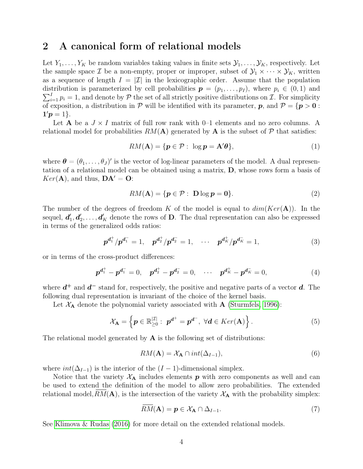### <span id="page-3-0"></span>2 A canonical form of relational models

Let  $Y_1, \ldots, Y_K$  be random variables taking values in finite sets  $\mathcal{Y}_1, \ldots, \mathcal{Y}_K$ , respectively. Let the sample space  $\mathcal I$  be a non-empty, proper or improper, subset of  $\mathcal Y_1 \times \cdots \times \mathcal Y_K$ , written as a sequence of length  $I = |\mathcal{I}|$  in the lexicographic order. Assume that the population  $\sum_{i=1}^{I} p_i = 1$ , and denote by  $P$  the set of all strictly positive distributions on  $\mathcal{I}$ . For simplicity distribution is parameterized by cell probabilities  $p = (p_1, \ldots, p_I)$ , where  $p_i \in (0, 1)$  and of exposition, a distribution in  $P$  will be identified with its parameter,  $p$ , and  $P = \{p > 0 :$  $1'p = 1$ .

Let **A** be a  $J \times I$  matrix of full row rank with 0–1 elements and no zero columns. A relational model for probabilities  $RM(A)$  generated by A is the subset of P that satisfies:

$$
RM(\mathbf{A}) = \{ \mathbf{p} \in \mathcal{P} : \log \mathbf{p} = \mathbf{A}'\mathbf{\theta} \},\tag{1}
$$

where  $\boldsymbol{\theta} = (\theta_1, \dots, \theta_J)'$  is the vector of log-linear parameters of the model. A dual representation of a relational model can be obtained using a matrix, D, whose rows form a basis of  $Ker(\mathbf{A})$ , and thus,  $\mathbf{DA}' = \mathbf{O}$ :

$$
RM(\mathbf{A}) = \{ \mathbf{p} \in \mathcal{P} : \ \mathbf{D} \log \mathbf{p} = \mathbf{0} \}. \tag{2}
$$

The number of the degrees of freedom K of the model is equal to  $dim(Ker(\mathbf{A}))$ . In the sequel,  $d_1'$  $_1',\boldsymbol{d}_2'$  $\mathbf{z}'_2, \ldots, \mathbf{d}'_K$  denote the rows of **D**. The dual representation can also be expressed in terms of the generalized odds ratios:

$$
p^{d_1^+}/p^{d_1^-} = 1, \quad p^{d_2^+}/p^{d_2^-} = 1, \quad \cdots \quad p^{d_K^+}/p^{d_K^-} = 1,
$$
 (3)

or in terms of the cross-product differences:

$$
p^{d_1^+} - p^{d_1^-} = 0, \quad p^{d_2^+} - p^{d_2^-} = 0, \quad \cdots \quad p^{d_K^+} - p^{d_K^-} = 0,
$$
 (4)

where  $d^+$  and  $d^-$  stand for, respectively, the positive and negative parts of a vector  $d$ . The following dual representation is invariant of the choice of the kernel basis.

Let  $X_A$  denote the polynomial variety associated with A [\(Sturmfels, 1996\)](#page-20-8):

$$
\mathcal{X}_{\mathbf{A}} = \left\{ \boldsymbol{p} \in \mathbb{R}_{\geq 0}^{|\mathcal{I}|} : \; \boldsymbol{p}^{\boldsymbol{d}^+} = \boldsymbol{p}^{\boldsymbol{d}^-}, \; \forall \boldsymbol{d} \in \mathop{Ker}(\mathbf{A}) \right\}.
$$

The relational model generated by  $A$  is the following set of distributions:

$$
RM(\mathbf{A}) = \mathcal{X}_{\mathbf{A}} \cap int(\Delta_{I-1}),\tag{6}
$$

where  $int(\Delta_{I-1})$  is the interior of the  $(I-1)$ -dimensional simplex.

Notice that the variety  $X_A$  includes elements p with zero components as well and can be used to extend the definition of the model to allow zero probabilities. The extended relational model,  $RM(A)$ , is the intersection of the variety  $\mathcal{X}_A$  with the probability simplex:

<span id="page-3-1"></span>
$$
RM(\mathbf{A}) = \mathbf{p} \in \mathcal{X}_{\mathbf{A}} \cap \Delta_{I-1}.\tag{7}
$$

See [Klimova & Rudas](#page-20-2) [\(2016\)](#page-20-2) for more detail on the extended relational models.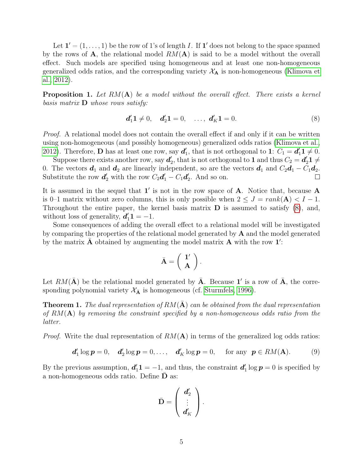Let  $\mathbf{1}' = (1, \ldots, 1)$  be the row of 1's of length I. If  $\mathbf{1}'$  does not belong to the space spanned by the rows of  $\mathbf{A}$ , the relational model  $RM(\mathbf{A})$  is said to be a model without the overall effect. Such models are specified using homogeneous and at least one non-homogeneous generalized odds ratios, and the corresponding variety  $X_A$  is non-homogeneous [\(Klimova et](#page-20-0) [al., 2012\)](#page-20-0).

**Proposition 1.** Let  $RM(A)$  be a model without the overall effect. There exists a kernel basis matrix  $\bf{D}$  whose rows satisfy:

<span id="page-4-0"></span>
$$
d'_1 1 \neq 0, \quad d'_2 1 = 0, \quad \dots, \ d'_K 1 = 0. \tag{8}
$$

Proof. A relational model does not contain the overall effect if and only if it can be written using non-homogeneous (and possibly homogeneous) generalized odds ratios [\(Klimova et al.,](#page-20-0) [2012\)](#page-20-0). Therefore, **D** has at least one row, say  $d_1'$  $C_1$ , that is not orthogonal to 1:  $C_1 = d_1' 1 \neq 0$ .

Suppose there exists another row, say  $d_2'$ <sup> $\ell$ </sup><sub>2</sub>, that is not orthogonal to **1** and thus  $C_2 = d'_2 \mathbf{1} \neq$ 0. The vectors  $d_1$  and  $d_2$  are linearly independent, so are the vectors  $d_1$  and  $C_2d_1 - C_1d_2$ . Substitute the row  $d'_2$  with the row  $C_2d'_1 - C_1d'_2$  $\frac{7}{2}$ . And so on.  $\Box$ 

It is assumed in the sequel that  $1'$  is not in the row space of  $A$ . Notice that, because  $A$ is 0–1 matrix without zero columns, this is only possible when  $2 \leq J = rank(A) < I - 1$ . Throughout the entire paper, the kernel basis matrix  **is assumed to satisfy**  $(8)$ **, and,** without loss of generality,  $d'_1 1 = -1$ .

Some consequences of adding the overall effect to a relational model will be investigated by comparing the properties of the relational model generated by A and the model generated by the matrix  $\bar{\mathbf{A}}$  obtained by augmenting the model matrix  $\mathbf{A}$  with the row  $\mathbf{1}'$ :

$$
\bar{\mathbf{A}} = \left(\begin{array}{c} \mathbf{1}' \\ \mathbf{A} \end{array}\right).
$$

Let  $RM(\bar{\mathbf{A}})$  be the relational model generated by  $\bar{\mathbf{A}}$ . Because 1' is a row of  $\bar{\mathbf{A}}$ , the corresponding polynomial variety  $\mathcal{X}_{\bar{\mathbf{A}}}$  is homogeneous (cf. [Sturmfels, 1996\)](#page-20-8).

<span id="page-4-1"></span>**Theorem 1.** The dual representation of  $RM(\bar{A})$  can be obtained from the dual representation of  $RM(A)$  by removing the constraint specified by a non-homogeneous odds ratio from the latter.

*Proof.* Write the dual representation of  $RM(A)$  in terms of the generalized log odds ratios:

$$
\mathbf{d}'_1 \log \mathbf{p} = 0, \quad \mathbf{d}'_2 \log \mathbf{p} = 0, \ldots, \quad \mathbf{d}'_K \log \mathbf{p} = 0, \quad \text{for any } \mathbf{p} \in RM(\mathbf{A}). \tag{9}
$$

By the previous assumption,  $d'_1 1 = -1$ , and thus, the constraint  $d'_1$  $y'_1 \log p = 0$  is specified by a non-homogeneous odds ratio. Define  **as:** 

$$
\bar{\mathbf{D}} = \left(\begin{array}{c} \bm{d}'_2 \\ \vdots \\ \bm{d}'_K \end{array}\right).
$$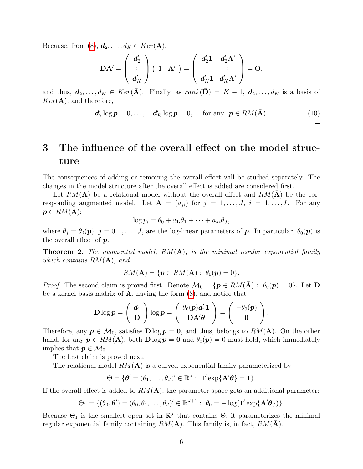Because, from [\(8\)](#page-4-0),  $d_2, \ldots, d_K \in Ker(A)$ ,

$$
\bar{\mathbf{D}}\bar{\mathbf{A}}'=\left(\begin{array}{c} \bm{d}'_2 \\ \vdots \\ \bm{d}'_K \end{array}\right)\left(\begin{array}{cc} \mathbf{1} & \mathbf{A}' \end{array}\right)=\left(\begin{array}{cc} \bm{d}'_2\mathbf{1} & \bm{d}'_2\mathbf{A}' \\ \vdots & \vdots \\ \bm{d}'_K\mathbf{1} & \bm{d}'_K\mathbf{A}' \end{array}\right)=\mathbf{O},
$$

and thus,  $d_2, \ldots, d_K \in Ker(\bar{A})$ . Finally, as  $rank(\bar{D}) = K - 1$ ,  $d_2, \ldots, d_K$  is a basis of  $Ker(\mathbf{A})$ , and therefore,

$$
\mathbf{d}'_2 \log \mathbf{p} = 0, \dots, \quad \mathbf{d}'_K \log \mathbf{p} = 0, \quad \text{ for any } \mathbf{p} \in RM(\bar{\mathbf{A}}). \tag{10}
$$

 $\Box$ 

# <span id="page-5-0"></span>3 The influence of the overall effect on the model structure

The consequences of adding or removing the overall effect will be studied separately. The changes in the model structure after the overall effect is added are considered first.

Let  $RM(A)$  be a relational model without the overall effect and  $RM(A)$  be the corresponding augmented model. Let  $\mathbf{A} = (a_{ii})$  for  $j = 1, \ldots, J$ ,  $i = 1, \ldots, I$ . For any  $p \in RM(A)$ :

$$
\log p_i = \theta_0 + a_{1i}\theta_1 + \cdots + a_{Ji}\theta_J,
$$

where  $\theta_j = \theta_j(\mathbf{p}), j = 0, 1, \ldots, J$ , are the log-linear parameters of **p**. In particular,  $\theta_0(\mathbf{p})$  is the overall effect of  $p$ .

<span id="page-5-1"></span>**Theorem 2.** The augmented model,  $RM(A)$ , is the minimal regular exponential family which contains  $RM(\bf A)$ , and

$$
RM(\mathbf{A}) = \{ \mathbf{p} \in RM(\bar{\mathbf{A}}): \ \theta_0(\mathbf{p}) = 0 \}.
$$

*Proof.* The second claim is proved first. Denote  $\mathcal{M}_0 = \{p \in RM(A) : \theta_0(p) = 0\}$ . Let D be a kernel basis matrix of  $\bf{A}$ , having the form  $(8)$ , and notice that

$$
\mathbf{D}\log p = \left(\begin{array}{c} \boldsymbol{d}_1 \\ \bar{\mathbf{D}} \end{array}\right) \log p = \left(\begin{array}{c} \theta_0(\boldsymbol{p})\boldsymbol{d}_1'\boldsymbol{1} \\ \bar{\mathbf{D}}\mathbf{A}'\boldsymbol{\theta} \end{array}\right) = \left(\begin{array}{c} -\theta_0(\boldsymbol{p}) \\ 0 \end{array}\right).
$$

Therefore, any  $p \in M_0$ , satisfies  $D \log p = 0$ , and thus, belongs to  $RM(A)$ . On the other hand, for any  $p \in RM(A)$ , both  $\bar{D} \log p = 0$  and  $\theta_0(p) = 0$  must hold, which immediately implies that  $p \in \mathcal{M}_0$ .

The first claim is proved next.

The relational model  $RM(A)$  is a curved exponential family parameterized by

$$
\Theta = \{ \boldsymbol{\theta}' = (\theta_1, \ldots, \theta_J)' \in \mathbb{R}^J : \mathbf{1}' \exp\{\mathbf{A}' \boldsymbol{\theta}\} = 1 \}.
$$

If the overall effect is added to  $RM(A)$ , the parameter space gets an additional parameter:

$$
\Theta_1 = \{(\theta_0, \boldsymbol{\theta}') = (\theta_0, \theta_1, \dots, \theta_J)' \in \mathbb{R}^{J+1}: \ \theta_0 = -\log(\mathbf{1}' \exp{\{\mathbf{A}' \boldsymbol{\theta}\}})\}.
$$

Because  $\Theta_1$  is the smallest open set in  $\mathbb{R}^J$  that contains  $\Theta$ , it parameterizes the minimal regular exponential family containing  $RM(A)$ . This family is, in fact,  $RM(\overline{A})$ .  $\Box$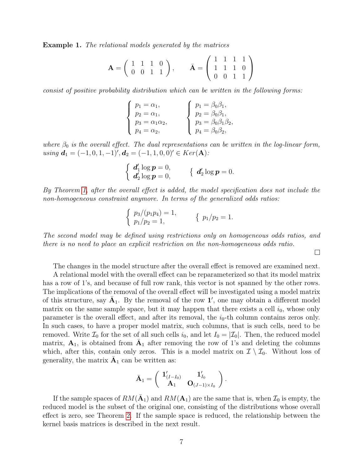Example 1. The relational models generated by the matrices

$$
\mathbf{A} = \left( \begin{array}{rrr} 1 & 1 & 1 & 0 \\ 0 & 0 & 1 & 1 \end{array} \right), \qquad \bar{\mathbf{A}} = \left( \begin{array}{rrr} 1 & 1 & 1 & 1 \\ 1 & 1 & 1 & 0 \\ 0 & 0 & 1 & 1 \end{array} \right)
$$

consist of positive probability distribution which can be written in the following forms:

$$
\begin{cases}\n p_1 = \alpha_1, \\
 p_2 = \alpha_1, \\
 p_3 = \alpha_1 \alpha_2, \\
 p_4 = \alpha_2,\n\end{cases}\n\qquad\n\begin{cases}\n p_1 = \beta_0 \beta_1, \\
 p_2 = \beta_0 \beta_1, \\
 p_3 = \beta_0 \beta_1 \beta_2, \\
 p_4 = \beta_0 \beta_2,\n\end{cases}
$$

where  $\beta_0$  is the overall effect. The dual representations can be written in the log-linear form, using  $d_1 = (-1, 0, 1, -1)$ ',  $d_2 = (-1, 1, 0, 0)$ '  $\in \text{Ker}(\mathbf{A})$ :

$$
\begin{cases}\n d'_1 \log p = 0, \\
 d'_2 \log p = 0,\n\end{cases}\n\quad \{ d'_2 \log p = 0.
$$

By Theorem [1,](#page-4-1) after the overall effect is added, the model specification does not include the non-homogeneous constraint anymore. In terms of the generalized odds ratios:

$$
\begin{cases} p_3/(p_1p_4) = 1, \\ p_1/p_2 = 1, \end{cases} \quad \{ p_1/p_2 = 1.
$$

The second model may be defined using restrictions only on homogeneous odds ratios, and there is no need to place an explicit restriction on the non-homogeneous odds ratio.

 $\Box$ 

The changes in the model structure after the overall effect is removed are examined next.

A relational model with the overall effect can be reparameterized so that its model matrix has a row of 1's, and because of full row rank, this vector is not spanned by the other rows. The implications of the removal of the overall effect will be investigated using a model matrix of this structure, say  $\bar{A}_1$ . By the removal of the row 1', one may obtain a different model matrix on the same sample space, but it may happen that there exists a cell  $i_0$ , whose only parameter is the overall effect, and after its removal, the  $i_0$ -th column contains zeros only. In such cases, to have a proper model matrix, such columns, that is such cells, need to be removed. Write  $\mathcal{I}_0$  for the set of all such cells  $i_0$ , and let  $I_0 = |\mathcal{I}_0|$ . Then, the reduced model matrix,  $A_1$ , is obtained from  $\bar{A}_1$  after removing the row of 1's and deleting the columns which, after this, contain only zeros. This is a model matrix on  $\mathcal{I} \setminus \mathcal{I}_0$ . Without loss of generality, the matrix  $\bar{A}_1$  can be written as:

$$
\bar{\mathbf{A}}_1 = \left(\begin{array}{cc} \mathbf{1}'_{(I-I_0)} & \mathbf{1}'_{I_0} \\ \mathbf{A}_1 & \mathbf{O}_{(J-1)\times I_0} \end{array}\right)
$$

.

If the sample spaces of  $RM(\bar{A}_1)$  and  $RM(A_1)$  are the same that is, when  $\mathcal{I}_0$  is empty, the reduced model is the subset of the original one, consisting of the distributions whose overall effect is zero, see Theorem [2.](#page-5-1) If the sample space is reduced, the relationship between the kernel basis matrices is described in the next result.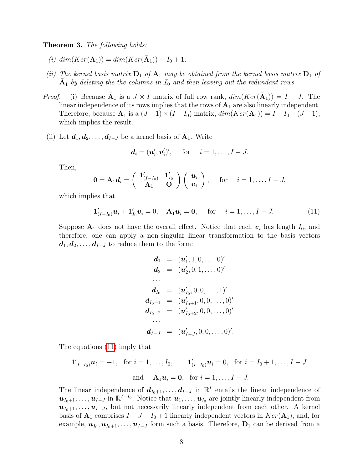<span id="page-7-1"></span>Theorem 3. The following holds:

- (i)  $dim(Ker(\mathbf{A}_1)) = dim(Ker(\bar{\mathbf{A}}_1)) I_0 + 1.$
- (ii) The kernel basis matrix  $D_1$  of  $A_1$  may be obtained from the kernel basis matrix  $\bar{D}_1$  of  $\bar{A}_1$  by deleting the the columns in  $\mathcal{I}_0$  and then leaving out the redundant rows.
- *Proof.* (i) Because  $\bar{\mathbf{A}}_1$  is a  $J \times I$  matrix of full row rank,  $dim(Ker(\bar{\mathbf{A}}_1)) = I J$ . The linear independence of its rows implies that the rows of  $A_1$  are also linearly independent. Therefore, because  $\mathbf{A}_1$  is a  $(J-1)\times (I-I_0)$  matrix,  $dim(Ker(\mathbf{A}_1)) = I - I_0 - (J-1)$ , which implies the result.
- (ii) Let  $d_1, d_2, \ldots, d_{I-J}$  be a kernel basis of  $\bar{A}_1$ . Write

$$
\boldsymbol{d}_i = (\boldsymbol{u}'_i, \boldsymbol{v}'_i)', \text{ for } i = 1, \ldots, I - J.
$$

Then,

$$
\mathbf{0} = \bar{\mathbf{A}}_1 \mathbf{d}_i = \begin{pmatrix} \mathbf{1}'_{(I-I_0)} & \mathbf{1}'_{I_0} \\ \mathbf{A}_1 & \mathbf{0} \end{pmatrix} \begin{pmatrix} \mathbf{u}_i \\ \mathbf{v}_i \end{pmatrix}, \quad \text{for } i = 1,\ldots,I-J,
$$

which implies that

<span id="page-7-0"></span>
$$
\mathbf{1}'_{(I-I_0)}\boldsymbol{u}_i + \mathbf{1}'_{I_0}\boldsymbol{v}_i = 0, \quad \mathbf{A}_1\boldsymbol{u}_i = \mathbf{0}, \quad \text{for} \quad i = 1,\ldots, I-J. \tag{11}
$$

Suppose  $A_1$  does not have the overall effect. Notice that each  $v_i$  has length  $I_0$ , and therefore, one can apply a non-singular linear transformation to the basis vectors  $d_1, d_2, \ldots, d_{I-J}$  to reduce them to the form:

$$
d_1 = (u'_1, 1, 0, \ldots, 0)'
$$
  
\n
$$
d_2 = (u'_2, 0, 1, \ldots, 0)'
$$
  
\n
$$
\ldots
$$
  
\n
$$
d_{I_0} = (u'_{I_0}, 0, 0, \ldots, 1)'
$$
  
\n
$$
d_{I_0+1} = (u'_{I_0+1}, 0, 0, \ldots, 0)'
$$
  
\n
$$
d_{I_0+2} = (u'_{I_0+2}, 0, 0, \ldots, 0)'
$$
  
\n
$$
\ldots
$$
  
\n
$$
d_{I-J} = (u'_{I-J}, 0, 0, \ldots, 0)'
$$

The equations [\(11\)](#page-7-0) imply that

$$
\mathbf{1}'_{(I-I_0)}\mathbf{u}_i = -1
$$
, for  $i = 1,..., I_0$ ,  $\mathbf{1}'_{(I-I_0)}\mathbf{u}_i = 0$ , for  $i = I_0 + 1,..., I - J$ ,  
and  $\mathbf{A}_1\mathbf{u}_i = \mathbf{0}$ , for  $i = 1,..., I - J$ .

The linear independence of  $d_{I_0+1}, \ldots, d_{I-J}$  in  $\mathbb{R}^I$  entails the linear independence of  $u_{I_0+1},\ldots,u_{I-J}$  in  $\mathbb{R}^{I-I_0}$ . Notice that  $u_1,\ldots,u_{I_0}$  are jointly linearly independent from  $u_{I_0+1}, \ldots, u_{I-J}$ , but not necessarily linearly independent from each other. A kernel basis of  $\mathbf{A}_1$  comprises  $I - J - I_0 + 1$  linearly independent vectors in  $Ker(\mathbf{A}_1)$ , and, for example,  $u_{I_0}, u_{I_0+1}, \ldots, u_{I-J}$  form such a basis. Therefore,  $D_1$  can be derived from a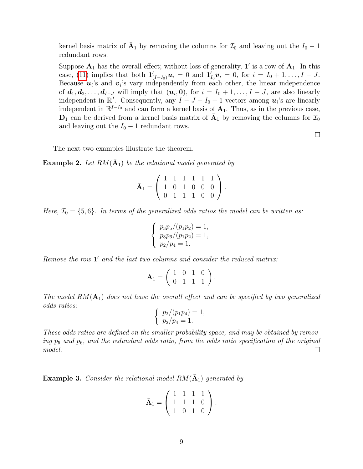kernel basis matrix of  $\bar{A}_1$  by removing the columns for  $\mathcal{I}_0$  and leaving out the  $I_0 - 1$ redundant rows.

Suppose  $A_1$  has the overall effect; without loss of generality,  $1'$  is a row of  $A_1$ . In this case, [\(11\)](#page-7-0) implies that both  $\mathbf{1}'_{(I-I_0)}\mathbf{u}_i = 0$  and  $\mathbf{1}'_{I_0}\mathbf{v}_i = 0$ , for  $i = I_0 + 1, \ldots, I - J$ . Because  $u_i$ 's and  $v_i$ 's vary independently from each other, the linear independence of  $d_1, d_2, \ldots, d_{I-J}$  will imply that  $(u_i, 0)$ , for  $i = I_0 + 1, \ldots, I - J$ , are also linearly independent in  $\mathbb{R}^I$ . Consequently, any  $I - J - I_0 + 1$  vectors among  $u_i$ 's are linearly independent in  $\mathbb{R}^{I-I_0}$  and can form a kernel basis of  $\mathbf{A}_1$ . Thus, as in the previous case,  $D_1$  can be derived from a kernel basis matrix of  $\overline{A}_1$  by removing the columns for  $\mathcal{I}_0$ and leaving out the  $I_0 - 1$  redundant rows.

 $\Box$ 

The next two examples illustrate the theorem.

<span id="page-8-0"></span>**Example 2.** Let  $RM(\bar{A}_1)$  be the relational model generated by

$$
\bar{\mathbf{A}}_1 = \left( \begin{array}{rrrrr} 1 & 1 & 1 & 1 & 1 & 1 \\ 1 & 0 & 1 & 0 & 0 & 0 \\ 0 & 1 & 1 & 1 & 0 & 0 \end{array} \right).
$$

Here,  $\mathcal{I}_0 = \{5, 6\}$ . In terms of the generalized odds ratios the model can be written as:

$$
\begin{cases}\np_3p_5/(p_1p_2) = 1, \\
p_3p_6/(p_1p_2) = 1, \\
p_2/p_4 = 1.\n\end{cases}
$$

Remove the row  $1'$  and the last two columns and consider the reduced matrix:

$$
\mathbf{A}_1 = \left( \begin{array}{rrr} 1 & 0 & 1 & 0 \\ 0 & 1 & 1 & 1 \end{array} \right).
$$

The model  $RM(\mathbf{A}_1)$  does not have the overall effect and can be specified by two generalized odds ratios:

$$
\begin{cases} p_2/(p_1p_4) = 1, \\ p_2/p_4 = 1. \end{cases}
$$

These odds ratios are defined on the smaller probability space, and may be obtained by removing  $p_5$  and  $p_6$ , and the redundant odds ratio, from the odds ratio specification of the original model.  $\Box$ 

**Example 3.** Consider the relational model  $RM(\bar{A}_1)$  generated by

$$
\bar{\mathbf{A}}_1 = \left( \begin{array}{rrr} 1 & 1 & 1 & 1 \\ 1 & 1 & 1 & 0 \\ 1 & 0 & 1 & 0 \end{array} \right).
$$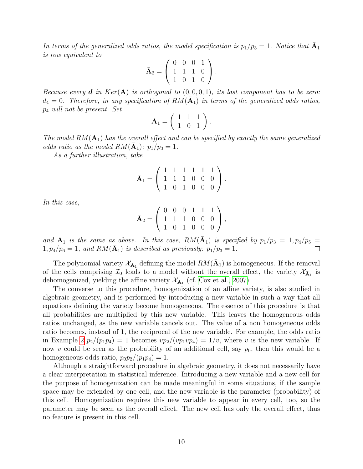In terms of the generalized odds ratios, the model specification is  $p_1/p_3 = 1$ . Notice that  $\overline{A}_1$ is row equivalent to

$$
\bar{\mathbf{A}}_2 = \left( \begin{array}{rrr} 0 & 0 & 0 & 1 \\ 1 & 1 & 1 & 0 \\ 1 & 0 & 1 & 0 \end{array} \right).
$$

Because every **d** in Ker(A) is orthogonal to  $(0, 0, 0, 1)$ , its last component has to be zero:  $d_4 = 0$ . Therefore, in any specification of  $RM(\bar{\mathbf{A}}_1)$  in terms of the generalized odds ratios, p<sup>4</sup> will not be present. Set

$$
\mathbf{A}_1 = \left( \begin{array}{rr} 1 & 1 & 1 \\ 1 & 0 & 1 \end{array} \right).
$$

The model  $RM(\mathbf{A}_1)$  has the overall effect and can be specified by exactly the same generalized odds ratio as the model  $RM(\bar{A}_1)$ :  $p_1/p_3 = 1$ .

As a further illustration, take

$$
\bar{\mathbf{A}}_1 = \left( \begin{array}{rrrrr} 1 & 1 & 1 & 1 & 1 & 1 \\ 1 & 1 & 1 & 0 & 0 & 0 \\ 1 & 0 & 1 & 0 & 0 & 0 \end{array} \right).
$$

In this case,

$$
\bar{\mathbf{A}}_2 = \left( \begin{array}{cccc} 0 & 0 & 0 & 1 & 1 & 1 \\ 1 & 1 & 1 & 0 & 0 & 0 \\ 1 & 0 & 1 & 0 & 0 & 0 \end{array} \right),
$$

and  $\mathbf{A}_1$  is the same as above. In this case,  $RM(\bar{\mathbf{A}}_1)$  is specified by  $p_1/p_3 = 1, p_4/p_5 =$  $1, p_4/p_6 = 1$ , and  $RM(\bar{A}_1)$  is described as previously:  $p_1/p_3 = 1$ .

The polynomial variety  $\mathcal{X}_{\bar{\mathbf{A}}_1}$  defining the model  $RM(\bar{\mathbf{A}}_1)$  is homogeneous. If the removal of the cells comprising  $\mathcal{I}_0$  leads to a model without the overall effect, the variety  $\mathcal{X}_{\bar{\mathbf{A}}_1}$  is dehomogenized, yielding the affine variety  $\mathcal{X}_{\mathbf{A}_1}$  (cf. [Cox et al., 2007\)](#page-19-2).

The converse to this procedure, homogenization of an affine variety, is also studied in algebraic geometry, and is performed by introducing a new variable in such a way that all equations defining the variety become homogeneous. The essence of this procedure is that all probabilities are multiplied by this new variable. This leaves the homogeneous odds ratios unchanged, as the new variable cancels out. The value of a non homogeneous odds ratio becomes, instead of 1, the reciprocal of the new variable. For example, the odds ratio in Example [2](#page-8-0)  $p_2/(p_1p_4) = 1$  becomes  $vp_2/(vp_1vp_4) = 1/v$ , where v is the new variable. If now v could be seen as the probability of an additional cell, say  $p_0$ , then this would be a homogeneous odds ratio,  $p_0p_2/(p_1p_4) = 1$ .

Although a straightforward procedure in algebraic geometry, it does not necessarily have a clear interpretation in statistical inference. Introducing a new variable and a new cell for the purpose of homogenization can be made meaningful in some situations, if the sample space may be extended by one cell, and the new variable is the parameter (probability) of this cell. Homogenization requires this new variable to appear in every cell, too, so the parameter may be seen as the overall effect. The new cell has only the overall effect, thus no feature is present in this cell.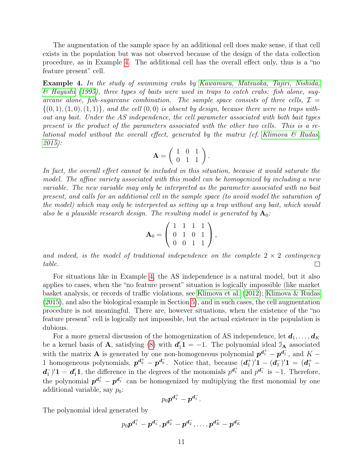The augmentation of the sample space by an additional cell does make sense, if that cell exists in the population but was not observed because of the design of the data collection procedure, as in Example [4.](#page-10-0) The additional cell has the overall effect only, thus is a "no feature present" cell.

<span id="page-10-0"></span>Example 4. In the study of swimming crabs by [Kawamura, Matsuoka, Tajiri, Nishida,](#page-20-9) [& Hayashi](#page-20-9) [\(1995\)](#page-20-9), three types of baits were used in traps to catch crabs: fish alone, sugarcane alone, fish-sugarcane combination. The sample space consists of three cells,  $\mathcal{I} =$  $\{(0, 1), (1, 0), (1, 1)\}\$ , and the cell  $(0, 0)$  is absent by design, because there were no traps without any bait. Under the AS independence, the cell parameter associated with both bait types present is the product of the parameters associated with the other two cells. This is a relational model without the overall effect, generated by the matrix (cf. Klimova  $\mathcal{C}$  Rudas, [2015\)](#page-20-6):

$$
\mathbf{A} = \left( \begin{array}{rr} 1 & 0 & 1 \\ 0 & 1 & 1 \end{array} \right).
$$

In fact, the overall effect cannot be included in this situation, because it would saturate the model. The affine variety associated with this model can be homogenized by including a new variable. The new variable may only be interpreted as the parameter associated with no bait present, and calls for an additional cell in the sample space (to avoid model the saturation of the model) which may only be interpreted as setting up a trap without any bait, which would also be a plausible research design. The resulting model is generated by  $\mathbf{A}_0$ :

$$
\mathbf{A}_0 = \left(\begin{array}{cccc} 1 & 1 & 1 & 1 \\ 0 & 1 & 0 & 1 \\ 0 & 0 & 1 & 1 \end{array}\right),
$$

and indeed, is the model of traditional independence on the complete  $2 \times 2$  contingency table.  $\Box$ 

For situations like in Example [4,](#page-10-0) the AS independence is a natural model, but it also applies to cases, when the "no feature present" situation is logically impossible (like market basket analysis, or records of traffic violations, see [Klimova et al.](#page-20-0) [\(2012\)](#page-20-0); [Klimova & Rudas](#page-20-6) [\(2015\)](#page-20-6), and also the biological example in Section [5\)](#page-17-0), and in such cases, the cell augmentation procedure is not meaningful. There are, however situations, when the existence of the "no feature present" cell is logically not impossible, but the actual existence in the population is dubious.

For a more general discussion of the homogenization of AS independence, let  $d_1, \ldots, d_K$ be a kernel basis of **A**, satisfying [\(8\)](#page-4-0) with  $d'_1 1 = -1$ . The polynomial ideal  $\mathcal{I}_A$  associated with the matrix **A** is generated by one non-homogeneous polynomial  $p^{d_1^+} - p^{d_1^-}$ , and  $K -$ 1 homogeneous polynomials,  $p^{d_k^+} - p^{d_k^-}$ . Notice that, because  $(d_1^+)$  $\binom{+}{1}$ ' $1-(d_1^-)$  $\binom{-}{1}$ ' ${\bf 1} \: = \: ( \bm{d}_1^+ \: - \:$  $d^-_1$  $\mathbf{d}_1^{\dagger}$  =  $\mathbf{d}_1^{\dagger}$ , the difference in the degrees of the monomials  $p^{\mathbf{d}_1^+}$  and  $p^{\mathbf{d}_1^-}$  is -1. Therefore, the polynomial  $p^{d_1^+} - p^{d_1^-}$  can be homogenized by multiplying the first monomial by one additional variable, say  $p_0$ :

$$
p_0\bm{p^{d_1^+}}-\bm{p^{d_1^-}}.
$$

The polynomial ideal generated by

$$
p_0\bm{p}^{\bm{d}_1^+}-\bm{p}^{\bm{d}_1^-}, \bm{p}^{\bm{d}_2^+}-\bm{p}^{\bm{d}_2^-},\ldots,\bm{p}^{\bm{d}_K^+}-\bm{p}^{\bm{d}_K^-}
$$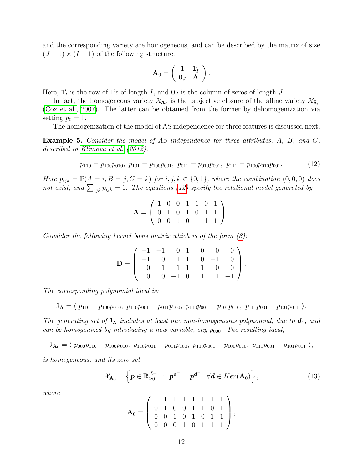and the corresponding variety are homogeneous, and can be described by the matrix of size  $(J+1) \times (I+1)$  of the following structure:

$$
\mathbf{A}_0 = \left( \begin{array}{cc} 1 & \mathbf{1}'_I \\ \mathbf{0}_J & \mathbf{A} \end{array} \right).
$$

Here,  $\mathbf{1}'_I$  is the row of 1's of length I, and  $\mathbf{0}_J$  is the column of zeros of length J.

In fact, the homogeneous variety  $\mathcal{X}_{A_0}$  is the projective closure of the affine variety  $\mathcal{X}_{\bar{A}_0}$ [\(Cox et al., 2007\)](#page-19-2). The latter can be obtained from the former by dehomogenization via setting  $p_0 = 1$ .

The homogenization of the model of AS independence for three features is discussed next.

<span id="page-11-1"></span>Example 5. Consider the model of AS independence for three attributes, A, B, and C, described in [Klimova et al.](#page-20-0) [\(2012\)](#page-20-0).

<span id="page-11-0"></span>
$$
p_{110} = p_{100}p_{010}, \ p_{101} = p_{100}p_{001}, \ p_{011} = p_{010}p_{001}, \ p_{111} = p_{100}p_{010}p_{001}.\tag{12}
$$

Here  $p_{ijk} = \mathbb{P}(A = i, B = j, C = k)$  for  $i, j, k \in \{0, 1\}$ , where the combination  $(0, 0, 0)$  does not exist, and  $\sum_{ijk} p_{ijk} = 1$ . The equations [\(12\)](#page-11-0) specify the relational model generated by

$$
\mathbf{A} = \left( \begin{array}{rrrrr} 1 & 0 & 0 & 1 & 1 & 0 & 1 \\ 0 & 1 & 0 & 1 & 0 & 1 & 1 \\ 0 & 0 & 1 & 0 & 1 & 1 & 1 \end{array} \right).
$$

Consider the following kernel basis matrix which is of the form [\(8\)](#page-4-0):

$$
\mathbf{D} = \left( \begin{array}{rrrrrrr} -1 & -1 & 0 & 1 & 0 & 0 & 0 \\ -1 & 0 & 1 & 1 & 0 & -1 & 0 \\ 0 & -1 & 1 & 1 & -1 & 0 & 0 \\ 0 & 0 & -1 & 0 & 1 & 1 & -1 \end{array} \right).
$$

The corresponding polynomial ideal is:

 $\mathcal{I}_{\mathbf{A}} = \langle p_{110} - p_{100}p_{010}, p_{110}p_{001} - p_{011}p_{100}, p_{110}p_{001} - p_{101}p_{010}, p_{111}p_{001} - p_{101}p_{011} \rangle.$ 

The generating set of  $\mathfrak{I}_A$  includes at least one non-homogeneous polynomial, due to  $d_1$ , and can be homogenized by introducing a new variable, say  $p_{000}$ . The resulting ideal,

 $\mathcal{I}_{\mathbf{A}_0} = \langle p_{000}p_{110} - p_{100}p_{010}, p_{110}p_{001} - p_{011}p_{100}, p_{110}p_{001} - p_{101}p_{010}, p_{111}p_{001} - p_{101}p_{011} \rangle,$ 

is homogeneous, and its zero set

$$
\mathcal{X}_{\mathbf{A}_0} = \left\{ \boldsymbol{p} \in \mathbb{R}_{\geq 0}^{|\mathcal{I}+1|} : \; \boldsymbol{p}^{\boldsymbol{d}^+} = \boldsymbol{p}^{\boldsymbol{d}^-}, \; \forall \boldsymbol{d} \in Ker(\mathbf{A}_0) \right\},\tag{13}
$$

where

$$
\mathbf{A}_0 = \left( \begin{array}{rrrrrr} 1 & 1 & 1 & 1 & 1 & 1 & 1 & 1 \\ 0 & 1 & 0 & 0 & 1 & 1 & 0 & 1 \\ 0 & 0 & 1 & 0 & 1 & 0 & 1 & 1 \\ 0 & 0 & 0 & 1 & 0 & 1 & 1 & 1 \end{array} \right),
$$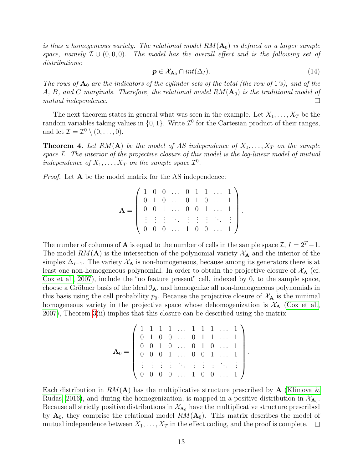is thus a homogeneous variety. The relational model  $RM(A_0)$  is defined on a larger sample space, namely  $\mathcal{I} \cup (0,0,0)$ . The model has the overall effect and is the following set of distributions:

$$
\mathbf{p} \in \mathcal{X}_{\mathbf{A}_0} \cap int(\Delta_I). \tag{14}
$$

.

The rows of  $A_0$  are the indicators of the cylinder sets of the total (the row of 1's), and of the A, B, and C marginals. Therefore, the relational model  $RM(A_0)$  is the traditional model of mutual independence.  $\Box$ 

The next theorem states in general what was seen in the example. Let  $X_1, \ldots, X_T$  be the random variables taking values in  $\{0, 1\}$ . Write  $\mathcal{I}^0$  for the Cartesian product of their ranges, and let  $\mathcal{I} = \mathcal{I}^0 \setminus (0, \ldots, 0)$ .

**Theorem 4.** Let RM(A) be the model of AS independence of  $X_1, \ldots, X_T$  on the sample space  $\mathcal{I}$ . The interior of the projective closure of this model is the log-linear model of mutual independence of  $X_1, \ldots, X_T$  on the sample space  $\mathcal{I}^0$ .

Proof. Let **A** be the model matrix for the AS independence:

$$
\mathbf{A} = \left( \begin{array}{cccccc} 1 & 0 & 0 & \dots & 0 & 1 & 1 & \dots & 1 \\ 0 & 1 & 0 & \dots & 0 & 1 & 0 & \dots & 1 \\ 0 & 0 & 1 & \dots & 0 & 0 & 1 & \dots & 1 \\ \vdots & \vdots & \vdots & \ddots & \vdots & \vdots & \vdots & \ddots & \vdots \\ 0 & 0 & 0 & \dots & 1 & 0 & 0 & \dots & 1 \end{array} \right).
$$

The number of columns of **A** is equal to the number of cells in the sample space  $\mathcal{I}, I = 2^T - 1$ . The model  $RM(\mathbf{A})$  is the intersection of the polynomial variety  $\mathcal{X}_{\mathbf{A}}$  and the interior of the simplex  $\Delta_{I-1}$ . The variety  $\mathcal{X}_A$  is non-homogeneous, because among its generators there is at least one non-homogeneous polynomial. In order to obtain the projective closure of  $X_{\rm A}$  (cf. [Cox et al., 2007\)](#page-19-2), include the "no feature present" cell, indexed by 0, to the sample space, choose a Gröbner basis of the ideal  $\mathcal{I}_{\mathbf{A}}$ , and homogenize all non-homogeneous polynomials in this basis using the cell probability  $p_0$ . Because the projective closure of  $\mathcal{X}_A$  is the minimal homogeneous variety in the projective space whose dehomogenization is  $\mathcal{X}_{\mathbf{A}}$  [\(Cox et al.,](#page-19-2) [2007\)](#page-19-2), Theorem [3\(](#page-7-1)ii) implies that this closure can be described using the matrix

$$
\mathbf{A}_0 = \left( \begin{array}{cccccc} 1 & 1 & 1 & 1 & \ldots & 1 & 1 & 1 & \ldots & 1 \\ 0 & 1 & 0 & 0 & \ldots & 0 & 1 & 1 & \ldots & 1 \\ 0 & 0 & 1 & 0 & \ldots & 0 & 1 & 0 & \ldots & 1 \\ 0 & 0 & 0 & 1 & \ldots & 0 & 0 & 1 & \ldots & 1 \\ \vdots & \vdots & \vdots & \vdots & \ddots & \vdots & \vdots & \vdots & \ddots & \vdots \\ 0 & 0 & 0 & 0 & \ldots & 1 & 0 & 0 & \ldots & 1 \end{array} \right)
$$

Each distribution in  $RM(A)$  has the multiplicative structure prescribed by A [\(Klimova &](#page-20-2) [Rudas, 2016\)](#page-20-2), and during the homogenization, is mapped in a positive distribution in  $\mathcal{X}_{\mathbf{A}_0}$ . Because all strictly positive distributions in  $\mathcal{X}_{A_0}$  have the multiplicative structure prescribed by  $A_0$ , they comprise the relational model  $RM(A_0)$ . This matrix describes the model of mutual independence between  $X_1, \ldots, X_T$  in the effect coding, and the proof is complete.  $\Box$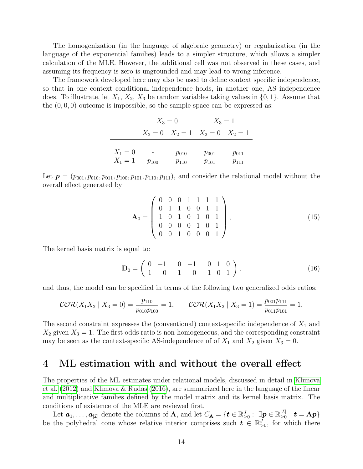The homogenization (in the language of algebraic geometry) or regularization (in the language of the exponential families) leads to a simpler structure, which allows a simpler calculation of the MLE. However, the additional cell was not observed in these cases, and assuming its frequency is zero is ungrounded and may lead to wrong inference.

The framework developed here may also be used to define context specific independence, so that in one context conditional independence holds, in another one, AS independence does. To illustrate, let  $X_1, X_2, X_3$  be random variables taking values in  $\{0, 1\}$ . Assume that the  $(0, 0, 0)$  outcome is impossible, so the sample space can be expressed as:

|           | $X_3 = 0$ |                                         | $X_3 = 1$ |           |
|-----------|-----------|-----------------------------------------|-----------|-----------|
|           |           | $X_2 = 0$ $X_2 = 1$ $X_2 = 0$ $X_2 = 1$ |           |           |
|           |           |                                         |           |           |
| $X_1 = 0$ |           | $p_{010}$                               | $p_{001}$ | $p_{011}$ |
| $X_1 = 1$ | $p_{100}$ | $p_{110}$                               | $p_{101}$ | $p_{111}$ |

Let  $p = (p_{001}, p_{010}, p_{011}, p_{100}, p_{101}, p_{110}, p_{111})$ , and consider the relational model without the overall effect generated by

$$
\mathbf{A}_0 = \begin{pmatrix} 0 & 0 & 0 & 1 & 1 & 1 & 1 \\ 0 & 1 & 1 & 0 & 0 & 1 & 1 \\ 1 & 0 & 1 & 0 & 1 & 0 & 1 \\ 0 & 0 & 0 & 0 & 1 & 0 & 1 \\ 0 & 0 & 1 & 0 & 0 & 0 & 1 \end{pmatrix},
$$
(15)

The kernel basis matrix is equal to:

$$
\mathbf{D}_0 = \left( \begin{array}{cccc} 0 & -1 & 0 & -1 & 0 & 1 & 0 \\ 1 & 0 & -1 & 0 & -1 & 0 & 1 \end{array} \right), \tag{16}
$$

and thus, the model can be specified in terms of the following two generalized odds ratios:

$$
\mathcal{COR}(X_1X_2 \mid X_3 = 0) = \frac{p_{110}}{p_{010}p_{100}} = 1, \qquad \mathcal{COR}(X_1X_2 \mid X_3 = 1) = \frac{p_{001}p_{111}}{p_{011}p_{101}} = 1.
$$

The second constraint expresses the (conventional) context-specific independence of  $X_1$  and  $X_2$  given  $X_3 = 1$ . The first odds ratio is non-homogeneous, and the corresponding constraint may be seen as the context-specific AS-independence of of  $X_1$  and  $X_2$  given  $X_3 = 0$ .

### <span id="page-13-0"></span>4 ML estimation with and without the overall effect

The properties of the ML estimates under relational models, discussed in detail in [Klimova](#page-20-0) [et al.](#page-20-0) [\(2012\)](#page-20-0) and [Klimova & Rudas](#page-20-2) [\(2016\)](#page-20-2), are summarized here in the language of the linear and multiplicative families defined by the model matrix and its kernel basis matrix. The conditions of existence of the MLE are reviewed first.

Let  $a_1,\ldots,a_{|\mathcal{I}|}$  denote the columns of A, and let  $C_{\mathbf{A}} = \{t \in \mathbb{R}_{\geq 0}^J : \exists p \in \mathbb{R}_{\geq 0}^{|\mathcal{I}|} \}$  $\stackrel{|L|}{\geq} \quad \boldsymbol{t} = \mathbf{A}\boldsymbol{p} \}$ be the polyhedral cone whose relative interior comprises such  $\mathbf{t} \in \mathbb{R}^J_{>0}$ , for which there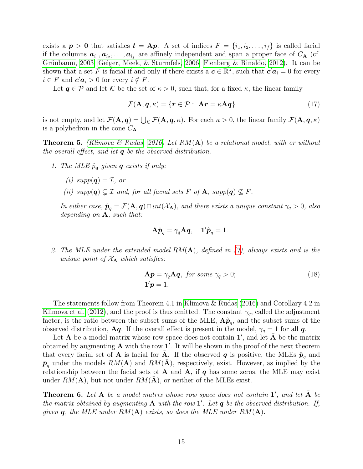exists a  $p > 0$  that satisfies  $t = Ap$ . A set of indices  $F = \{i_1, i_2, \ldots, i_f\}$  is called facial if the columns  $a_{i_1}, a_{i_2}, \ldots, a_{i_f}$  are affinely independent and span a proper face of  $C_{\bf A}$  (cf. [Grünbaum, 2003;](#page-19-4) [Geiger, Meek, & Sturmfels, 2006;](#page-19-5) [Fienberg & Rinaldo, 2012\)](#page-19-6). It can be shown that a set F is facial if and only if there exists a  $c \in \mathbb{R}^J$ , such that  $c' a_i = 0$  for every  $i \in F$  and  $c' a_i > 0$  for every  $i \notin F$ .

Let  $q \in \mathcal{P}$  and let K be the set of  $\kappa > 0$ , such that, for a fixed  $\kappa$ , the linear family

$$
\mathcal{F}(\mathbf{A}, \mathbf{q}, \kappa) = \{ \mathbf{r} \in \mathcal{P} : \ \mathbf{A}\mathbf{r} = \kappa \mathbf{A}\mathbf{q} \} \tag{17}
$$

is not empty, and let  $\mathcal{F}(\mathbf{A}, \boldsymbol{q}) = \bigcup_{\mathcal{K}} \mathcal{F}(\mathbf{A}, \boldsymbol{q}, \kappa)$ . For each  $\kappa > 0$ , the linear family  $\mathcal{F}(\mathbf{A}, \boldsymbol{q}, \kappa)$ is a polyhedron in the cone  $C_{\mathbf{A}}$ .

<span id="page-14-0"></span>**Theorem 5.** [\(Klimova & Rudas, 2016\)](#page-20-2) Let  $RM(A)$  be a relational model, with or without the overall effect, and let  $q$  be the observed distribution.

- 1. The MLE  $\hat{p}_{q}$  given **q** exists if only:
	- (i)  $supp(\mathbf{q}) = \mathcal{I}$ , or
	- (ii)  $supp(\mathbf{q}) \subsetneq \mathcal{I}$  and, for all facial sets F of **A**,  $supp(\mathbf{q}) \not\subseteq F$ .

In either case,  $\hat{\boldsymbol{p}}_q = \mathcal{F}(\mathbf{A}, \boldsymbol{q}) \cap int(\mathcal{X}_{\mathbf{A}})$ , and there exists a unique constant  $\gamma_q > 0$ , also depending on  $A$ , such that:

$$
\mathbf{A}\hat{\boldsymbol{p}}_q = \gamma_q \mathbf{A}\boldsymbol{q}, \quad \mathbf{1}'\hat{\boldsymbol{p}}_q = 1.
$$

2. The MLE under the extended model  $RM(A)$ , defined in [\(7\)](#page-3-1), always exists and is the unique point of  $X_A$  which satisfies:

$$
\mathbf{A}\boldsymbol{p} = \gamma_q \mathbf{A}\boldsymbol{q}, \text{ for some } \gamma_q > 0; \tag{18}
$$
  

$$
\mathbf{1}'\boldsymbol{p} = 1.
$$

The statements follow from Theorem 4.1 in [Klimova & Rudas](#page-20-2) [\(2016\)](#page-20-2) and Corollary 4.2 in [Klimova et al.](#page-20-0) [\(2012\)](#page-20-0), and the proof is thus omitted. The constant  $\gamma_q$ , called the adjustment factor, is the ratio between the subset sums of the MLE,  $\mathbf{A}\hat{\boldsymbol{p}}_q$ , and the subset sums of the observed distribution, Aq. If the overall effect is present in the model,  $\gamma_q = 1$  for all q.

Let **A** be a model matrix whose row space does not contain  $1'$ , and let  $\overline{A}$  be the matrix obtained by augmenting  $A$  with the row  $1'$ . It will be shown in the proof of the next theorem that every facial set of **A** is facial for **A**. If the observed **q** is positive, the MLEs  $\hat{\boldsymbol{p}}_q$  and  $\bar{p}_q$  under the models  $RM(A)$  and  $RM(\bar{A})$ , respectively, exist. However, as implied by the relationship between the facial sets of  $A$  and  $A$ , if q has some zeros, the MLE may exist under  $RM(A)$ , but not under  $RM(A)$ , or neither of the MLEs exist.

**Theorem 6.** Let  $A$  be a model matrix whose row space does not contain  $1'$ , and let  $\overline{A}$  be the matrix obtained by augmenting  $A$  with the row  $1'$ . Let  $q$  be the observed distribution. If, given q, the MLE under  $RM(A)$  exists, so does the MLE under  $RM(A)$ .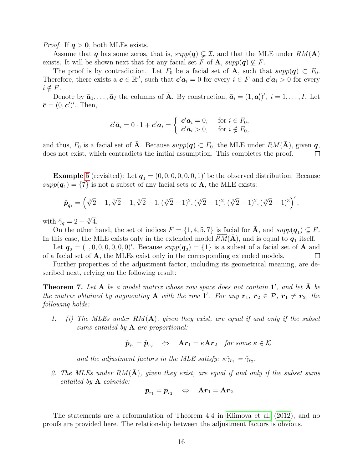*Proof.* If  $q > 0$ , both MLEs exists.

Assume that q has some zeros, that is,  $supp(q) \subsetneq \mathcal{I}$ , and that the MLE under  $RM(\overline{A})$ exists. It will be shown next that for any facial set F of A,  $supp(q) \nsubseteq F$ .

The proof is by contradiction. Let  $F_0$  be a facial set of **A**, such that  $supp(q) \subset F_0$ . Therefore, there exists a  $c \in \mathbb{R}^J$ , such that  $c' a_i = 0$  for every  $i \in F$  and  $c' a_i > 0$  for every  $i \notin F$ .

Denote by  $\bar{a}_1, \ldots, \bar{a}_I$  the columns of  $\bar{A}$ . By construction,  $\bar{a}_i = (1, a'_i)'$ ,  $i = 1, \ldots, I$ . Let  $\bar{\mathbf{c}} = (0, \mathbf{c}')'.$  Then,

$$
\bar{\mathbf{c}}'\bar{\mathbf{a}}_i = 0 \cdot 1 + \mathbf{c'}\mathbf{a}_i = \begin{cases} \mathbf{c'}\mathbf{a}_i = 0, & \text{for } i \in F_0, \\ \bar{\mathbf{c}}'\bar{\mathbf{a}}_i > 0, \quad \text{for } i \notin F_0, \end{cases}
$$

and thus,  $F_0$  is a facial set of  $\overline{A}$ . Because  $supp(q) \subset F_0$ , the MLE under  $RM(\overline{A})$ , given q, does not exist, which contradicts the initial assumption. This completes the proof.  $\Box$ 

**Example [5](#page-11-1)** (revisited): Let  $q_1 = (0, 0, 0, 0, 0, 0, 1)$  be the observed distribution. Because  $supp(\mathbf{q}_1) = \{7\}$  is not a subset of any facial sets of **A**, the MLE exists:

$$
\hat{\mathbf{p}}_{q_1} = \left(\sqrt[3]{2} - 1, \sqrt[3]{2} - 1, \sqrt[3]{2} - 1, (\sqrt[3]{2} - 1)^2, (\sqrt[3]{2} - 1)^2, (\sqrt[3]{2} - 1)^2, (\sqrt[3]{2} - 1)^3\right)',
$$

with  $\hat{\gamma}_q = 2 - \sqrt[3]{4}$ .

On the other hand, the set of indices  $F = \{1, 4, 5, 7\}$  is facial for  $\bar{A}$ , and  $supp(\mathbf{q}_1) \subsetneq F$ . In this case, the MLE exists only in the extended model  $\overline{RM}(\overline{A})$ , and is equal to  $q_1$  itself.

Let  $q_2 = (1, 0, 0, 0, 0, 0, 0)'$ . Because  $supp(q_2) = \{1\}$  is a subset of a facial set of A and of a facial set of  $\bf{A}$ , the MLEs exist only in the corresponding extended models. ⊔

Further properties of the adjustment factor, including its geometrical meaning, are described next, relying on the following result:

<span id="page-15-0"></span>**Theorem 7.** Let  $A$  be a model matrix whose row space does not contain  $1'$ , and let  $\overline{A}$  be the matrix obtained by augmenting **A** with the row **1'**. For any  $\mathbf{r}_1, \mathbf{r}_2 \in \mathcal{P}, \mathbf{r}_1 \neq \mathbf{r}_2$ , the following holds:

1. (i) The MLEs under  $RM(A)$ , given they exist, are equal if and only if the subset sums entailed by  $A$  are proportional:

$$
\hat{\boldsymbol{p}}_{r_1} = \hat{\boldsymbol{p}}_{r_2} \quad \Leftrightarrow \quad \mathbf{A}\boldsymbol{r}_1 = \kappa \mathbf{A}\boldsymbol{r}_2 \quad \textit{for some } \kappa \in \mathcal{K}
$$

and the adjustment factors in the MLE satisfy:  $\kappa \hat{\gamma}_{r_1} = \hat{\gamma}_{r_2}$ .

2. The MLEs under  $RM(\overline{A})$ , given they exist, are equal if and only if the subset sums entailed by A coincide:

$$
\bar{\pmb{p}}_{r_1} = \bar{\pmb{p}}_{r_2} \quad \Leftrightarrow \quad \mathbf{A} \bm{r}_1 = \mathbf{A} \bm{r}_2.
$$

The statements are a reformulation of Theorem 4.4 in [Klimova et al.](#page-20-0) [\(2012\)](#page-20-0), and no proofs are provided here. The relationship between the adjustment factors is obvious.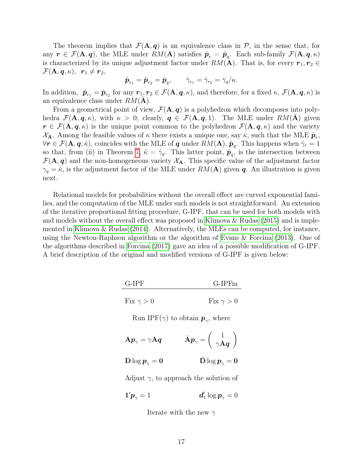The theorem implies that  $\mathcal{F}(\mathbf{A}, \mathbf{q})$  is an equivalence class in  $\mathcal{P}$ , in the sense that, for any  $r \in \mathcal{F}(\mathbf{A}, \boldsymbol{q})$ , the MLE under  $RM(\mathbf{A})$  satisfies  $\hat{\boldsymbol{p}}_r = \hat{\boldsymbol{p}}_q$ . Each sub-family  $\mathcal{F}(\mathbf{A}, \boldsymbol{q}, \kappa)$ is characterized by its unique adjustment factor under  $RM(A)$ . That is, for every  $r_1, r_2 \in$  $\mathcal{F}(\mathbf{A}, \boldsymbol{q}, \kappa), \enspace \boldsymbol{r}_1 \neq \boldsymbol{r}_2,$ 

$$
\hat{\boldsymbol{p}}_{r_1} = \hat{\boldsymbol{p}}_{r_2} = \hat{\boldsymbol{p}}_q, \qquad \hat{\gamma}_{r_1} = \hat{\gamma}_{r_2} = \hat{\gamma}_q/\kappa.
$$

In addition,  $\bar{p}_{r_1} = \bar{p}_{r_2}$  for any  $r_1, r_2 \in \mathcal{F}(\mathbf{A}, \mathbf{q}, \kappa)$ , and therefore, for a fixed  $\kappa$ ,  $\mathcal{F}(\mathbf{A}, \mathbf{q}, \kappa)$  is an equivalence class under  $RM(\overline{A})$ .

From a geometrical point of view,  $\mathcal{F}(\mathbf{A}, \mathbf{q})$  is a polyhedron which decomposes into polyhedra  $\mathcal{F}(\mathbf{A}, \mathbf{q}, \kappa)$ , with  $\kappa > 0$ ; clearly,  $\mathbf{q} \in \mathcal{F}(\mathbf{A}, \mathbf{q}, 1)$ . The MLE under  $RM(\mathbf{A})$  given  $r \in \mathcal{F}(\mathbf{A}, \mathbf{q}, \kappa)$  is the unique point common to the polyhedron  $\mathcal{F}(\mathbf{A}, \mathbf{q}, \kappa)$  and the variety  $\mathcal{X}_{\bar{\mathbf{A}}}$ . Among the feasible values of  $\kappa$  there exists a unique one, say  $\hat{\kappa}$ , such that the MLE  $\bar{\mathbf{p}}_r$ ,  $\forall r \in \mathcal{F}(\mathbf{A},\bm{q},\hat{\kappa})$ , coincides with the MLE of  $\bm{q}$  under  $RM(\mathbf{A}),\,\hat{\bm{p}}_q$ . This happens when  $\hat{\gamma}_r = 1$ so that, from (ii) in Theorem [7,](#page-15-0)  $\hat{\kappa} = \hat{\gamma}_q$ . This latter point,  $\hat{\mathbf{p}}_q$ , is the intersection between  $\mathcal{F}(\mathbf{A}, \mathbf{q})$  and the non-homogeneous variety  $\mathcal{X}_{\mathbf{A}}$ . This specific value of the adjustment factor  $\gamma_q = \hat{\kappa}$ , is the adjustment factor of the MLE under  $RM(A)$  given q. An illustration is given next.

Relational models for probabilities without the overall effect are curved exponential families, and the computation of the MLE under such models is not straightforward. An extension of the iterative proportional fitting procedure, G-IPF, that can be used for both models with and models without the overall effect was proposed in Klimova  $\&$  Rudas [\(2015\)](#page-20-6) and is implemented in [Klimova & Rudas](#page-20-10) [\(2014\)](#page-20-10). Alternatively, the MLEs can be computed, for instance, using the Newton-Raphson algorithm or the algorithm of [Evans & Forcina](#page-19-7) [\(2013\)](#page-19-7). One of the algorithms described in [Forcina](#page-19-8) [\(2017\)](#page-19-8) gave an idea of a possible modification of G-IPF. A brief description of the original and modified versions of G-IPF is given below:

| $G-IPFm$         |  |  |
|------------------|--|--|
| Fix $\gamma > 0$ |  |  |
|                  |  |  |

Run IPF( $\gamma$ ) to obtain  $p_{\gamma}$ , where

$$
\mathbf{A}\boldsymbol{p}_{\gamma}=\gamma\mathbf{A}\boldsymbol{q}\qquad\quad\bar{\mathbf{A}}\boldsymbol{p}_{\gamma}=\left(\begin{array}{c}1\\ \gamma\mathbf{A}\boldsymbol{q}\end{array}\right)
$$

$$
\bar {\mathbf D} \log \pmb p_\gamma = \mathbf 0 \qquad \qquad \bar {\mathbf D} \log \pmb p_\gamma = \mathbf 0
$$

Adjust  $\gamma$ , to approach the solution of

$$
\mathbf{1}'\boldsymbol{p}_{\gamma}=1 \qquad \qquad \boldsymbol{d}_{1}'\log\boldsymbol{p}_{\gamma}=0
$$

Iterate with the new  $\gamma$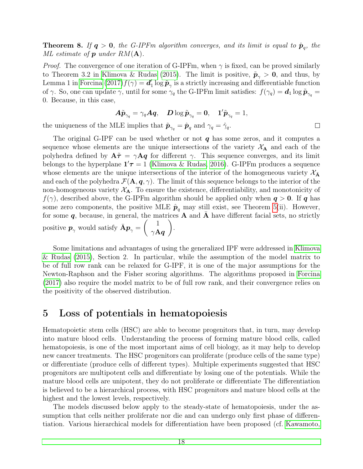**Theorem 8.** If  $q > 0$ , the G-IPFm algorithm converges, and its limit is equal to  $\hat{p}_q$ , the ML estimate of  $p$  under  $RM(A)$ .

*Proof.* The convergence of one iteration of G-IPFm, when  $\gamma$  is fixed, can be proved similarly to Theorem 3.2 in [Klimova & Rudas](#page-20-6) [\(2015\)](#page-20-6). The limit is positive,  $\tilde{p}_{\gamma} > 0$ , and thus, by Lemma 1 in [Forcina](#page-19-8)  $(2017) f(\gamma) = d'$  $(2017) f(\gamma) = d'$  $\tilde{\pmb{\rho}}_{\gamma}$  is a strictly increasing and differentiable function of  $\gamma$ . So, one can update  $\gamma$ , until for some  $\gamma_q$  the G-IPFm limit satisfies:  $f(\gamma_q) = d_1 \log \tilde{p}_{\gamma_q} =$ 0. Because, in this case,

$$
\bm{A}\tilde{\bm{p}}_{\gamma_q} = \gamma_q \bm{A}\bm{q}, \quad \bm{D}\log\tilde{\bm{p}}_{\gamma_q} = \bm{0}, \quad \bm{1}'\tilde{\bm{p}}_{\gamma_q} = 1,
$$

 $\Box$ 

the uniqueness of the MLE implies that  $\tilde{\mathbf{p}}_{\gamma_q} = \hat{\mathbf{p}}_q$  and  $\gamma_q = \hat{\gamma}_q$ .

The original G-IPF can be used whether or not  $q$  has some zeros, and it computes a sequence whose elements are the unique intersections of the variety  $X_A$  and each of the polyhedra defined by  $A\tilde{\tau} = \gamma Aq$  for different  $\gamma$ . This sequence converges, and its limit belongs to the hyperplane  $1'\tau = 1$  [\(Klimova & Rudas, 2016\)](#page-20-2). G-IPFm produces a sequence whose elements are the unique intersections of the interior of the homogeneous variety  $\mathcal{X}_{\bar{\mathbf{A}}}$ and each of the polyhedra  $\mathcal{F}(\mathbf{A}, \mathbf{q}, \gamma)$ . The limit of this sequence belongs to the interior of the non-homogeneous variety  $X_A$ . To ensure the existence, differentiability, and monotonicity of  $f(\gamma)$ , described above, the G-IPFm algorithm should be applied only when  $q > 0$ . If q has some zero components, the positive MLE  $\hat{\boldsymbol{p}}_q$  may still exist, see Theorem [5\(](#page-14-0)ii). However, for some  $q$ , because, in general, the matrices  $\overline{A}$  and  $\overline{A}$  have different facial sets, no strictly positive  $p_{\gamma}$  would satisfy  $\bar{A}p_{\gamma} = \begin{pmatrix} 1 \\ 2\Delta \end{pmatrix}$  $\gamma\mathbf{A} \boldsymbol{q}$  $\setminus$ .

Some limitations and advantages of using the generalized IPF were addressed in [Klimova](#page-20-6) [& Rudas](#page-20-6) [\(2015\)](#page-20-6), Section 2. In particular, while the assumption of the model matrix to be of full row rank can be relaxed for G-IPF, it is one of the major assumptions for the Newton-Raphson and the Fisher scoring algorithms. The algorithms proposed in [Forcina](#page-19-8) [\(2017\)](#page-19-8) also require the model matrix to be of full row rank, and their convergence relies on the positivity of the observed distribution.

### <span id="page-17-0"></span>5 Loss of potentials in hematopoiesis

Hematopoietic stem cells (HSC) are able to become progenitors that, in turn, may develop into mature blood cells. Understanding the process of forming mature blood cells, called hematopoiesis, is one of the most important aims of cell biology, as it may help to develop new cancer treatments. The HSC progenitors can proliferate (produce cells of the same type) or differentiate (produce cells of different types). Multiple experiments suggested that HSC progenitors are multipotent cells and differentiate by losing one of the potentials. While the mature blood cells are unipotent, they do not proliferate or differentiate The differentiation is believed to be a hierarchical process, with HSC progenitors and mature blood cells at the highest and the lowest levels, respectively.

The models discussed below apply to the steady-state of hematopoiesis, under the assumption that cells neither proliferate nor die and can undergo only first phase of differentiation. Various hierarchical models for differentiation have been proposed (cf. [Kawamoto,](#page-20-11)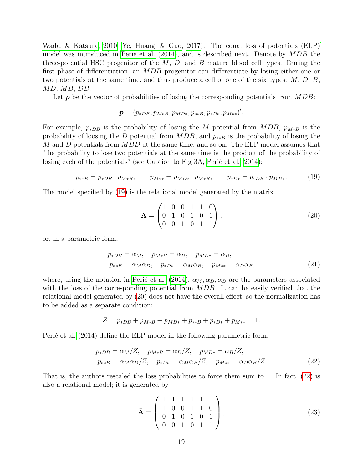[Wada, & Katsura, 2010;](#page-20-11) [Ye, Huang, & Guo, 2017\)](#page-20-12)[. The equal loss of potentials \(ELP\)](#page-20-11) model was introduced in [Perié et al.](#page-20-7) [\(2014\)](#page-20-7), and is described next. Denote by MDB the three-potential HSC progenitor of the  $M$ ,  $D$ , and  $B$  mature blood cell types. During the first phase of differentiation, an MDB progenitor can differentiate by losing either one or two potentials at the same time, and thus produce a cell of one of the six types: M, D, B, MD, MB, DB.

Let  $p$  be the vector of probabilities of losing the corresponding potentials from  $MDB$ :

$$
\boldsymbol{p} = (p_{*DB}, p_{M*B}, p_{MD*}, p_{**B}, p_{*D*}, p_{M**})'.
$$

For example,  $p_{*DB}$  is the probability of losing the M potential from MDB,  $p_{M*B}$  is the probability of loosing the D potential from  $MDB$ , and  $p_{**B}$  is the probability of losing the M and D potentials from MBD at the same time, and so on. The ELP model assumes that "the probability to lose two potentials at the same time is the product of the probability of losing each of the potentials" (see Caption to Fig 3A, [Perié et al., 2014\)](#page-20-7):

<span id="page-18-0"></span>
$$
p_{**B} = p_{*DB} \cdot p_{M*B}, \qquad p_{M**} = p_{MD*} \cdot p_{M*B}, \qquad p_{*D*} = p_{*DB} \cdot p_{MD*}. \tag{19}
$$

The model specified by [\(19\)](#page-18-0) is the relational model generated by the matrix

<span id="page-18-1"></span>
$$
\mathbf{A} = \begin{pmatrix} 1 & 0 & 0 & 1 & 1 & 0 \\ 0 & 1 & 0 & 1 & 0 & 1 \\ 0 & 0 & 1 & 0 & 1 & 1 \end{pmatrix}, \tag{20}
$$

or, in a parametric form,

$$
p_{*DB} = \alpha_M, \quad p_{M*B} = \alpha_D, \quad p_{MD*} = \alpha_B,
$$
  

$$
p_{**B} = \alpha_M \alpha_D, \quad p_{*D*} = \alpha_M \alpha_B, \quad p_{M**} = \alpha_D \alpha_B,
$$
 (21)

where, using the notation in [Perié et al.](#page-20-7) [\(2014\)](#page-20-7),  $\alpha_M, \alpha_D, \alpha_B$  are the parameters associated with the loss of the corresponding potential from MDB. It can be easily verified that the relational model generated by [\(20\)](#page-18-1) does not have the overall effect, so the normalization has to be added as a separate condition:

$$
Z = p_{*DB} + p_{M*B} + p_{MD*} + p_{**B} + p_{*D*} + p_{M**} = 1.
$$

[Perié et al.](#page-20-7) [\(2014\)](#page-20-7) define the ELP model in the following parametric form:

$$
p_{*DB} = \alpha_M/Z, \quad p_{M*B} = \alpha_D/Z, \quad p_{MD*} = \alpha_B/Z, p_{**B} = \alpha_M \alpha_D/Z, \quad p_{*D*} = \alpha_M \alpha_B/Z, \quad p_{M**} = \alpha_D \alpha_B/Z.
$$
 (22)

That is, the authors rescaled the loss probabilities to force them sum to 1. In fact, [\(22\)](#page-18-2) is also a relational model; it is generated by

<span id="page-18-2"></span>
$$
\bar{\mathbf{A}} = \begin{pmatrix} 1 & 1 & 1 & 1 & 1 & 1 \\ 1 & 0 & 0 & 1 & 1 & 0 \\ 0 & 1 & 0 & 1 & 0 & 1 \\ 0 & 0 & 1 & 0 & 1 & 1 \end{pmatrix},
$$
(23)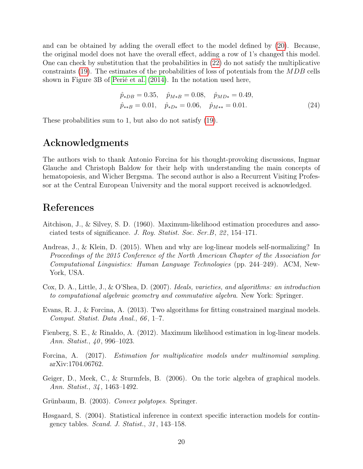and can be obtained by adding the overall effect to the model defined by [\(20\)](#page-18-1). Because, the original model does not have the overall effect, adding a row of 1's changed this model. One can check by substitution that the probabilities in [\(22\)](#page-18-2) do not satisfy the multiplicative constraints [\(19\)](#page-18-0). The estimates of the probabilities of loss of potentials from the MDB cells shown in Figure 3B of [Perié et al.](#page-20-7) [\(2014\)](#page-20-7). In the notation used here,

$$
\hat{p}_{*DB} = 0.35, \quad \hat{p}_{M*B} = 0.08, \quad \hat{p}_{MD*} = 0.49, \n\hat{p}_{**B} = 0.01, \quad \hat{p}_{*D*} = 0.06, \quad \hat{p}_{M**} = 0.01.
$$
\n(24)

These probabilities sum to 1, but also do not satisfy [\(19\)](#page-18-0).

## Acknowledgments

The authors wish to thank Antonio Forcina for his thought-provoking discussions, Ingmar Glauche and Christoph Baldow for their help with understanding the main concepts of hematopoiesis, and Wicher Bergsma. The second author is also a Recurrent Visiting Professor at the Central European University and the moral support received is acknowledged.

## References

- <span id="page-19-3"></span>Aitchison, J., & Silvey, S. D. (1960). Maximum-likelihood estimation procedures and associated tests of significance. J. Roy. Statist. Soc. Ser.B, 22 , 154–171.
- <span id="page-19-0"></span>Andreas, J., & Klein, D. (2015). When and why are log-linear models self-normalizing? In Proceedings of the 2015 Conference of the North American Chapter of the Association for Computational Linguistics: Human Language Technologies (pp. 244–249). ACM, New-York, USA.
- <span id="page-19-2"></span>Cox, D. A., Little, J., & O'Shea, D. (2007). Ideals, varieties, and algorithms: an introduction to computational algebraic geometry and commutative algebra. New York: Springer.
- <span id="page-19-7"></span>Evans, R. J., & Forcina, A. (2013). Two algorithms for fitting constrained marginal models. Comput. Statist. Data Anal., 66, 1–7.
- <span id="page-19-6"></span>Fienberg, S. E., & Rinaldo, A. (2012). Maximum likelihood estimation in log-linear models. Ann. Statist., 40, 996–1023.
- <span id="page-19-8"></span>Forcina, A. (2017). Estimation for multiplicative models under multinomial sampling. arXiv:1704.06762.
- <span id="page-19-5"></span>Geiger, D., Meek, C., & Sturmfels, B. (2006). On the toric algebra of graphical models. Ann. Statist., 34, 1463–1492.
- <span id="page-19-4"></span>Grünbaum, B. (2003). Convex polytopes. Springer.
- <span id="page-19-1"></span>Høsgaard, S. (2004). Statistical inference in context specific interaction models for contingency tables. *Scand. J. Statist.*,  $31$ , 143–158.